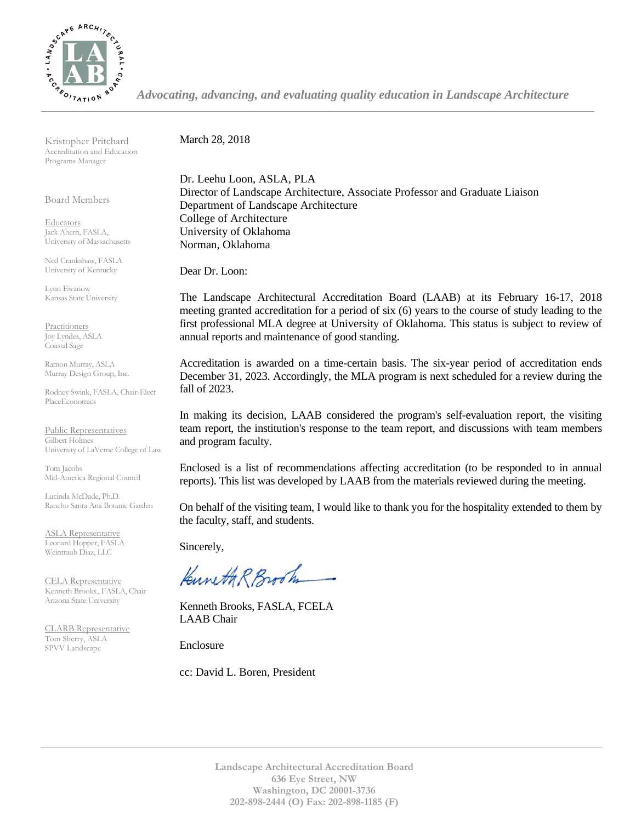

*Advocating, advancing, and evaluating quality education in Landscape Architecture*

Kristopher Pritchard Accreditation and Education Programs Manager

Board Members

**Educators** Jack Ahern, FASLA, University of Massachusetts

Ned Crankshaw, FASLA University of Kentucky

Lynn Ewanow Kansas State University

**Practitioners** Joy Lyndes, ASLA Coastal Sage

Ramon Murray, ASLA Murray Design Group, Inc.

Rodney Swink, FASLA, Chair-Elect PlaceEconomics

Public Representatives Gilbert Holmes University of LaVerne College of Law

Tom Jacobs Mid-America Regional Council

Lucinda McDade, Ph.D. Rancho Santa Ana Botanic Garden

ASLA Representative Leonard Hopper, FASLA Weintraub Diaz, LLC

CELA Representative Kenneth Brooks., FASLA, Chair Arizona State University

CLARB Representative Tom Sherry, ASLA SPVV Landscape

March 28, 2018

Dr. Leehu Loon, ASLA, PLA Director of Landscape Architecture, Associate Professor and Graduate Liaison Department of Landscape Architecture College of Architecture University of Oklahoma Norman, Oklahoma

Dear Dr. Loon:

The Landscape Architectural Accreditation Board (LAAB) at its February 16-17, 2018 meeting granted accreditation for a period of six (6) years to the course of study leading to the first professional MLA degree at University of Oklahoma. This status is subject to review of annual reports and maintenance of good standing.

Accreditation is awarded on a time-certain basis. The six-year period of accreditation ends December 31, 2023. Accordingly, the MLA program is next scheduled for a review during the fall of 2023.

In making its decision, LAAB considered the program's self-evaluation report, the visiting team report, the institution's response to the team report, and discussions with team members and program faculty.

Enclosed is a list of recommendations affecting accreditation (to be responded to in annual reports). This list was developed by LAAB from the materials reviewed during the meeting.

On behalf of the visiting team, I would like to thank you for the hospitality extended to them by the faculty, staff, and students.

Sincerely,

Kuneth R Brook

Kenneth Brooks, FASLA, FCELA LAAB Chair

Enclosure

cc: David L. Boren, President

**Landscape Architectural Accreditation Board 636 Eye Street, NW Washington, DC 20001-3736 202-898-2444 (O) Fax: 202-898-1185 (F)**